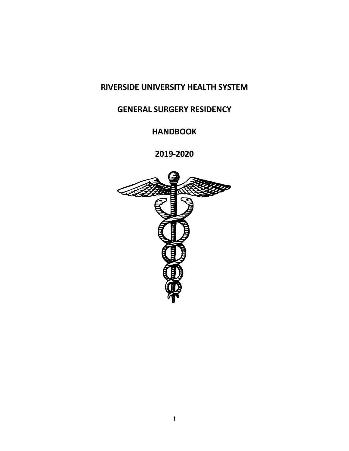# **RIVERSIDE UNIVERSITY HEALTH SYSTEM**

# **GENERAL SURGERY RESIDENCY**

**HANDBOOK**

**2019-2020**

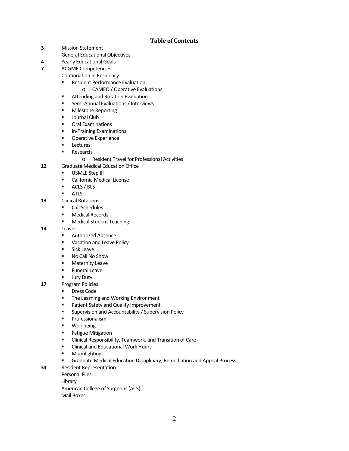# **Table of Contents**

- **3** Mission Statement
- General Educational Objectives
- **4** Yearly Educational Goals
- **7** ACGME Competencies

Continuation in Residency

- **Resident Performance Evaluation** 
	- o CAMEO / Operative Evaluations
- **EXECUTE:** Attending and Rotation Evaluation
- **EXEC** Semi-Annual Evaluations / Interviews
- **Milestone Reporting**
- **Journal Club**
- **•** Oral Examinations
- **In-Training Examinations**
- **•** Operative Experience
- **Lectures**
- **Research** 
	- o Resident Travel for Professional Activities
- **12** Graduate Medical Education Office
	- **USMLE Step III**
	- California Medical License
	- **ACLS** / BLS
	- **ATLS**
- **13** Clinical Rotations
	- **Call Schedules**
	- **Nedical Records**
	- **Medical Student Teaching**

**14** Leaves

- **Authorized Absence**
- **Vacation and Leave Policy**
- **Sick Leave**
- No Call No Show
- **Maternity Leave**
- **Funeral Leave**
- **Jury Duty**
- **17** Program Policies
	- **Dress Code**
	- **The Learning and Working Environment**
	- **Patient Safety and Quality Improvement**
	- **EXECOUTER Supervision and Accountability / Supervision Policy**
	- **•** Professionalism
	- **Well-being**
	- **Fatigue Mitigation**
	- Clinical Responsibility, Teamwork, and Transition of Care
	- **EXECLINICAL AND EXECLICATE Clinical and Educational Work Hours**
	- **•** Moonlighting
	- Graduate Medical Education Disciplinary, Remediation and Appeal Process
- **34** Resident Representation

Personal Files Library American College of Surgeons (ACS) Mail Boxes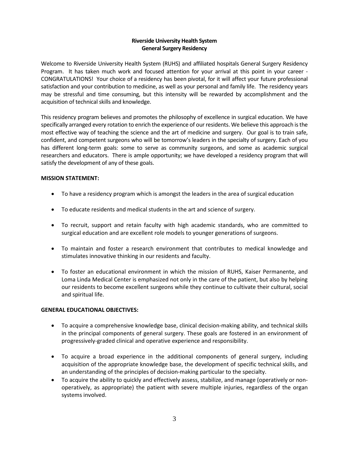# **Riverside University Health System General Surgery Residency**

Welcome to Riverside University Health System (RUHS) and affiliated hospitals General Surgery Residency Program. It has taken much work and focused attention for your arrival at this point in your career - CONGRATULATIONS! Your choice of a residency has been pivotal, for it will affect your future professional satisfaction and your contribution to medicine, as well as your personal and family life. The residency years may be stressful and time consuming, but this intensity will be rewarded by accomplishment and the acquisition of technical skills and knowledge.

This residency program believes and promotes the philosophy of excellence in surgical education. We have specifically arranged every rotation to enrich the experience of our residents. We believe this approach is the most effective way of teaching the science and the art of medicine and surgery. Our goal is to train safe, confident, and competent surgeons who will be tomorrow's leaders in the specialty of surgery. Each of you has different long-term goals: some to serve as community surgeons, and some as academic surgical researchers and educators. There is ample opportunity; we have developed a residency program that will satisfy the development of any of these goals.

# **MISSION STATEMENT:**

- To have a residency program which is amongst the leaders in the area of surgical education
- To educate residents and medical students in the art and science of surgery.
- To recruit, support and retain faculty with high academic standards, who are committed to surgical education and are excellent role models to younger generations of surgeons.
- To maintain and foster a research environment that contributes to medical knowledge and stimulates innovative thinking in our residents and faculty.
- To foster an educational environment in which the mission of RUHS, Kaiser Permanente, and Loma Linda Medical Center is emphasized not only in the care of the patient, but also by helping our residents to become excellent surgeons while they continue to cultivate their cultural, social and spiritual life.

## **GENERAL EDUCATIONAL OBJECTIVES:**

- To acquire a comprehensive knowledge base, clinical decision-making ability, and technical skills in the principal components of general surgery. These goals are fostered in an environment of progressively-graded clinical and operative experience and responsibility.
- To acquire a broad experience in the additional components of general surgery, including acquisition of the appropriate knowledge base, the development of specific technical skills, and an understanding of the principles of decision-making particular to the specialty.
- To acquire the ability to quickly and effectively assess, stabilize, and manage (operatively or nonoperatively, as appropriate) the patient with severe multiple injuries, regardless of the organ systems involved.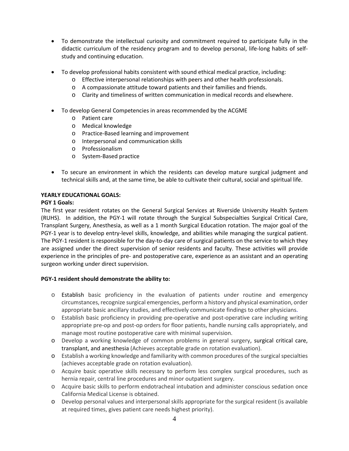- To demonstrate the intellectual curiosity and commitment required to participate fully in the didactic curriculum of the residency program and to develop personal, life-long habits of selfstudy and continuing education.
- To develop professional habits consistent with sound ethical medical practice, including:
	- o Effective interpersonal relationships with peers and other health professionals.
	- o A compassionate attitude toward patients and their families and friends.
	- o Clarity and timeliness of written communication in medical records and elsewhere.
- To develop General Competencies in areas recommended by the ACGME
	- o Patient care
	- o Medical knowledge
	- o Practice-Based learning and improvement
	- o Interpersonal and communication skills
	- o Professionalism
	- o System-Based practice
- To secure an environment in which the residents can develop mature surgical judgment and technical skills and, at the same time, be able to cultivate their cultural, social and spiritual life.

## **YEARLY EDUCATIONAL GOALS:**

#### **PGY 1 Goals:**

The first year resident rotates on the General Surgical Services at Riverside University Health System (RUHS). In addition, the PGY-1 will rotate through the Surgical Subspecialties Surgical Critical Care, Transplant Surgery, Anesthesia, as well as a 1 month Surgical Education rotation. The major goal of the PGY-1 year is to develop entry-level skills, knowledge, and abilities while managing the surgical patient. The PGY-1 resident is responsible for the day-to-day care of surgical patients on the service to which they are assigned under the direct supervision of senior residents and faculty. These activities will provide experience in the principles of pre- and postoperative care, experience as an assistant and an operating surgeon working under direct supervision.

## **PGY-1 resident should demonstrate the ability to:**

- o Establish basic proficiency in the evaluation of patients under routine and emergency circumstances, recognize surgical emergencies, perform a history and physical examination, order appropriate basic ancillary studies, and effectively communicate findings to other physicians.
- o Establish basic proficiency in providing pre-operative and post-operative care including writing appropriate pre-op and post-op orders for floor patients, handle nursing calls appropriately, and manage most routine postoperative care with minimal supervision.
- o Develop a working knowledge of common problems in general surgery, surgical critical care, transplant, and anesthesia (Achieves acceptable grade on rotation evaluation).
- o Establish a working knowledge and familiarity with common procedures of the surgical specialties (achieves acceptable grade on rotation evaluation).
- o Acquire basic operative skills necessary to perform less complex surgical procedures, such as hernia repair, central line procedures and minor outpatient surgery.
- o Acquire basic skills to perform endotracheal intubation and administer conscious sedation once California Medical License is obtained.
- o Develop personal values and interpersonal skills appropriate for the surgical resident (is available at required times, gives patient care needs highest priority).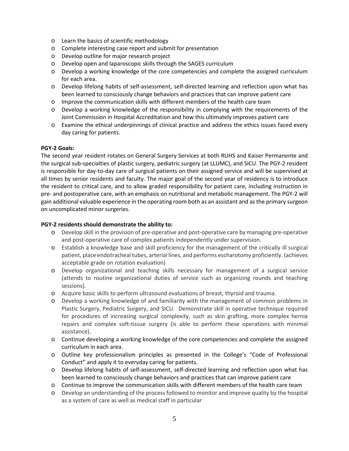- o Learn the basics of scientific methodology
- o Complete interesting case report and submit for presentation
- o Develop outline for major research project
- o Develop open and laparoscopic skills through the SAGES curriculum
- o Develop a working knowledge of the core competencies and complete the assigned curriculum for each area.
- o Develop lifelong habits of self-assessment, self-directed learning and reflection upon what has been learned to consciously change behaviors and practices that can improve patient care
- o Improve the communication skills with different members of the health care team
- o Develop a working knowledge of the responsibility in complying with the requirements of the Joint Commission in Hospital Accreditation and how this ultimately improves patient care
- o Examine the ethical underpinnings of clinical practice and address the ethics issues faced every day caring for patients.

## **PGY-2 Goals:**

The second year resident rotates on General Surgery Services at both RUHS and Kaiser Permanente and the surgical sub-specialties of plastic surgery, pediatric surgery (at LLUMC), and SICU. The PGY-2 resident is responsible for day-to-day care of surgical patients on their assigned service and will be supervised at all times by senior residents and faculty. The major goal of the second year of residency is to introduce the resident to critical care, and to allow graded responsibility for patient care, including instruction in pre- and postoperative care, with an emphasis on nutritional and metabolic management. The PGY-2 will gain additional valuable experience in the operating room both as an assistant and as the primary surgeon on uncomplicated minor surgeries.

## **PGY-2 residents should demonstrate the ability to:**

- o Develop skill in the provision of pre-operative and post-operative care by managing pre-operative and post-operative care of complex patients independently under supervision.
- o Establish a knowledge base and skill proficiency for the management of the critically ill surgical patient, place endotracheal tubes, arterial lines, and performs escharotomy proficiently. (achieves acceptable grade on rotation evaluation)
- o Develop organizational and teaching skills necessary for management of a surgical service (attends to routine organizational duties of service such as organizing rounds and teaching sessions).
- o Acquire basic skills to perform ultrasound evaluations of breast, thyroid and trauma.
- o Develop a working knowledge of and familiarity with the management of common problems in Plastic Surgery, Pediatric Surgery, and SICU. Demonstrate skill in operative technique required for procedures of increasing surgical complexity, such as skin grafting, more complex hernia repairs and complex soft-tissue surgery (is able to perform these operations with minimal assistance).
- o Continue developing a working knowledge of the core competencies and complete the assigned curriculum in each area.
- o Outline key professionalism principles as presented in the College's "Code of Professional Conduct" and apply it to everyday caring for patients.
- o Develop lifelong habits of self-assessment, self-directed learning and reflection upon what has been learned to consciously change behaviors and practices that can improve patient care
- o Continue to improve the communication skills with different members of the health care team
- o Develop an understanding of the process followed to monitor and improve quality by the hospital as a system of care as well as medical staff in particular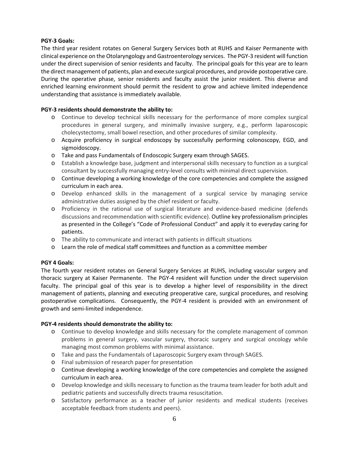# **PGY-3 Goals:**

The third year resident rotates on General Surgery Services both at RUHS and Kaiser Permanente with clinical experience on the Otolaryngology and Gastroenterology services. The PGY-3 resident will function under the direct supervision of senior residents and faculty. The principal goals for this year are to learn the direct management of patients, plan and execute surgical procedures, and provide postoperative care. During the operative phase, senior residents and faculty assist the junior resident. This diverse and enriched learning environment should permit the resident to grow and achieve limited independence understanding that assistance is immediately available.

## **PGY-3 residents should demonstrate the ability to:**

- o Continue to develop technical skills necessary for the performance of more complex surgical procedures in general surgery, and minimally invasive surgery, e.g., perform laparoscopic cholecystectomy, small bowel resection, and other procedures of similar complexity.
- o Acquire proficiency in surgical endoscopy by successfully performing colonoscopy, EGD, and sigmoidoscopy.
- o Take and pass Fundamentals of Endoscopic Surgery exam through SAGES.
- o Establish a knowledge base, judgment and interpersonal skills necessary to function as a surgical consultant by successfully managing entry-level consults with minimal direct supervision.
- o Continue developing a working knowledge of the core competencies and complete the assigned curriculum in each area.
- o Develop enhanced skills in the management of a surgical service by managing service administrative duties assigned by the chief resident or faculty.
- o Proficiency in the rational use of surgical literature and evidence-based medicine (defends discussions and recommendation with scientific evidence). Outline key professionalism principles as presented in the College's "Code of Professional Conduct" and apply it to everyday caring for patients.
- o The ability to communicate and interact with patients in difficult situations
- o Learn the role of medical staff committees and function as a committee member

## **PGY 4 Goals:**

The fourth year resident rotates on General Surgery Services at RUHS, including vascular surgery and thoracic surgery at Kaiser Permanente. The PGY-4 resident will function under the direct supervision faculty. The principal goal of this year is to develop a higher level of responsibility in the direct management of patients, planning and executing preoperative care, surgical procedures, and resolving postoperative complications. Consequently, the PGY-4 resident is provided with an environment of growth and semi-limited independence.

## **PGY-4 residents should demonstrate the ability to:**

- o Continue to develop knowledge and skills necessary for the complete management of common problems in general surgery, vascular surgery, thoracic surgery and surgical oncology while managing most common problems with minimal assistance.
- o Take and pass the Fundamentals of Laparoscopic Surgery exam through SAGES.
- o Final submission of research paper for presentation
- o Continue developing a working knowledge of the core competencies and complete the assigned curriculum in each area.
- o Develop knowledge and skills necessary to function as the trauma team leader for both adult and pediatric patients and successfully directs trauma resuscitation.
- o Satisfactory performance as a teacher of junior residents and medical students (receives acceptable feedback from students and peers).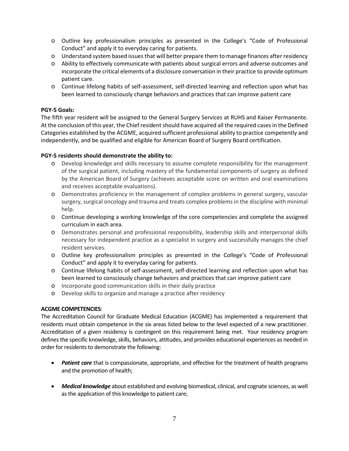- o Outline key professionalism principles as presented in the College's "Code of Professional Conduct" and apply it to everyday caring for patients.
- o Understand system based issues that will better prepare them to manage finances after residency
- o Ability to effectively communicate with patients about surgical errors and adverse outcomes and incorporate the critical elements of a disclosure conversation in their practice to provide optimum patient care.
- o Continue lifelong habits of self-assessment, self-directed learning and reflection upon what has been learned to consciously change behaviors and practices that can improve patient care

## **PGY-5 Goals:**

The fifth year resident will be assigned to the General Surgery Services at RUHS and Kaiser Permanente. At the conclusion of this year, the Chief resident should have acquired all the required cases in the Defined Categories established by the ACGME, acquired sufficient professional ability to practice competently and independently, and be qualified and eligible for American Board of Surgery Board certification.

## **PGY-5 residents should demonstrate the ability to:**

- o Develop knowledge and skills necessary to assume complete responsibility for the management of the surgical patient, including mastery of the fundamental components of surgery as defined by the American Board of Surgery (achieves acceptable score on written and oral examinations and receives acceptable evaluations).
- o Demonstrates proficiency in the management of complex problems in general surgery, vascular surgery, surgical oncology and trauma and treats complex problems in the discipline with minimal help.
- o Continue developing a working knowledge of the core competencies and complete the assigned curriculum in each area.
- o Demonstrates personal and professional responsibility, leadership skills and interpersonal skills necessary for independent practice as a specialist in surgery and successfully manages the chief resident services.
- o Outline key professionalism principles as presented in the College's "Code of Professional Conduct" and apply it to everyday caring for patients.
- o Continue lifelong habits of self-assessment, self-directed learning and reflection upon what has been learned to consciously change behaviors and practices that can improve patient care
- o Incorporate good communication skills in their daily practice
- o Develop skills to organize and manage a practice after residency

## **ACGME COMPETENCIES**:

The Accreditation Council for Graduate Medical Education (ACGME) has implemented a requirement that residents must obtain competence in the six areas listed below to the level expected of a new practitioner. Accreditation of a given residency is contingent on this requirement being met. Your residency program defines the specific knowledge, skills, behaviors, attitudes, and provides educational experiences as needed in order for residents to demonstrate the following:

- *Patient care* that is compassionate, appropriate, and effective for the treatment of health programs and the promotion of health;
- *Medical knowledge* about established and evolving biomedical, clinical, and cognate sciences, as well as the application of this knowledge to patient care;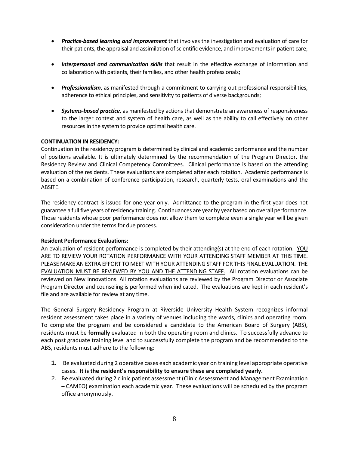- *Practice-based learning and improvement* that involves the investigation and evaluation of care for their patients, the appraisal and assimilation of scientific evidence, and improvements in patient care;
- *Interpersonal and communication skills* that result in the effective exchange of information and collaboration with patients, their families, and other health professionals;
- *Professionalism*, as manifested through a commitment to carrying out professional responsibilities, adherence to ethical principles, and sensitivity to patients of diverse backgrounds;
- *Systems-based practice*, as manifested by actions that demonstrate an awareness of responsiveness to the larger context and system of health care, as well as the ability to call effectively on other resources in the system to provide optimal health care.

## **CONTINUATION IN RESIDENCY:**

Continuation in the residency program is determined by clinical and academic performance and the number of positions available. It is ultimately determined by the recommendation of the Program Director, the Residency Review and Clinical Competency Committees. Clinical performance is based on the attending evaluation of the residents. These evaluations are completed after each rotation. Academic performance is based on a combination of conference participation, research, quarterly tests, oral examinations and the ABSITE.

The residency contract is issued for one year only. Admittance to the program in the first year does not guarantee a full five years of residency training. Continuances are year by year based on overall performance. Those residents whose poor performance does not allow them to complete even a single year will be given consideration under the terms for due process.

## **Resident Performance Evaluations:**

An evaluation of resident performance is completed by their attending(s) at the end of each rotation. YOU ARE TO REVIEW YOUR ROTATION PERFORMANCE WITH YOUR ATTENDING STAFF MEMBER AT THIS TIME. PLEASE MAKE AN EXTRA EFFORT TO MEET WITH YOUR ATTENDING STAFF FOR THIS FINAL EVALUATION. THE EVALUATION MUST BE REVIEWED BY YOU AND THE ATTENDING STAFF. All rotation evaluations can be reviewed on New Innovations. All rotation evaluations are reviewed by the Program Director or Associate Program Director and counseling is performed when indicated. The evaluations are kept in each resident's file and are available for review at any time.

The General Surgery Residency Program at Riverside University Health System recognizes informal resident assessment takes place in a variety of venues including the wards, clinics and operating room. To complete the program and be considered a candidate to the American Board of Surgery (ABS), residents must be **formally** evaluated in both the operating room and clinics. To successfully advance to each post graduate training level and to successfully complete the program and be recommended to the ABS, residents must adhere to the following:

- **1.** Be evaluated during 2 operative cases each academic year on training level appropriate operative cases. **It is the resident's responsibility to ensure these are completed yearly.**
- 2. Be evaluated during 2 clinic patient assessment (Clinic Assessment and Management Examination – CAMEO) examination each academic year. These evaluations will be scheduled by the program office anonymously.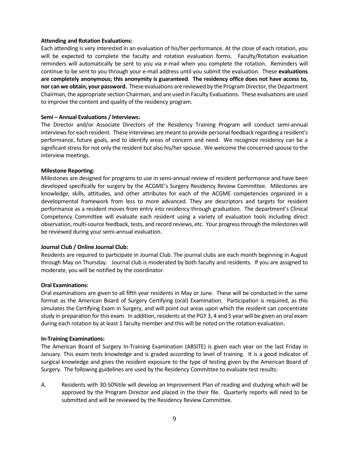#### **Attending and Rotation Evaluations:**

Each attending is very interested in an evaluation of his/her performance. At the close of each rotation, you will be expected to complete the faculty and rotation evaluation forms. Faculty/Rotation evaluation reminders will automatically be sent to you via e-mail when you complete the rotation. Reminders will continue to be sent to you through your e-mail address until you submit the evaluation. These **evaluations are completely anonymous; this anonymity is guaranteed**. **The residency office does not have access to, nor can we obtain, your password.** These evaluations are reviewed by the Program Director, the Department Chairman, the appropriate section Chairman, and are used in Faculty Evaluations. These evaluations are used to improve the content and quality of the residency program.

#### **Semi – Annual Evaluations / Interviews:**

The Director and/or Associate Directors of the Residency Training Program will conduct semi-annual interviews for each resident. These interviews are meant to provide personal feedback regarding a resident's performance, future goals, and to identify areas of concern and need. We recognize residency can be a significant stress for not only the resident but also his/her spouse. We welcome the concerned spouse to the interview meetings.

#### **Milestone Reporting:**

Milestones are designed for programs to use in semi-annual review of resident performance and have been developed specifically for surgery by the ACGME's Surgery Residency Review Committee. Milestones are knowledge, skills, attitudes, and other attributes for each of the ACGME competencies organized in a developmental framework from less to more advanced. They are descriptors and targets for resident performance as a resident moves from entry into residency through graduation. The department's Clinical Competency Committee will evaluate each resident using a variety of evaluation tools including direct observation, multi-source feedback, tests, and record reviews, etc. Your progress through the milestones will be reviewed during your semi-annual evaluation.

#### **Journal Club / Online Journal Club:**

Residents are required to participate in Journal Club. The journal clubs are each month beginning in August through May on Thursday. Journal club is moderated by both faculty and residents. If you are assigned to moderate, you will be notified by the coordinator.

## **Oral Examinations:**

Oral examinations are given to all fifth year residents in May or June. These will be conducted in the same format as the American Board of Surgery Certifying (oral) Examination. Participation is required, as this simulates the Certifying Exam in Surgery, and will point out areas upon which the resident can concentrate study in preparation for this exam. In addition, residents at the PGY 3, 4 and 5 year will be given an oral exam during each rotation by at least 1 faculty member and this will be noted on the rotation evaluation.

#### **In-Training Examinations:**

The American Board of Surgery In-Training Examination (ABSITE) is given each year on the last Friday in January. This exam tests knowledge and is graded according to level of training. It is a good indicator of surgical knowledge and gives the resident exposure to the type of testing given by the American Board of Surgery. The following guidelines are used by the Residency Committee to evaluate test results:

A. Residents with 30-50%tile will develop an Improvement Plan of reading and studying which will be approved by the Program Director and placed in the their file. Quarterly reports will need to be submitted and will be reviewed by the Residency Review Committee.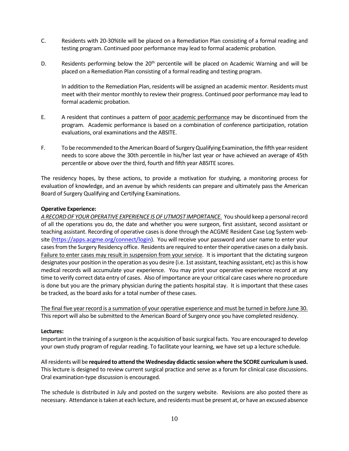- C. Residents with 20-30%tile will be placed on a Remediation Plan consisting of a formal reading and testing program. Continued poor performance may lead to formal academic probation.
- D. Residents performing below the  $20<sup>th</sup>$  percentile will be placed on Academic Warning and will be placed on a Remediation Plan consisting of a formal reading and testing program.

In addition to the Remediation Plan, residents will be assigned an academic mentor. Residents must meet with their mentor monthly to review their progress. Continued poor performance may lead to formal academic probation.

- E. A resident that continues a pattern of poor academic performance may be discontinued from the program. Academic performance is based on a combination of conference participation, rotation evaluations, oral examinations and the ABSITE.
- F. To be recommended to the American Board of Surgery Qualifying Examination, the fifth year resident needs to score above the 30th percentile in his/her last year or have achieved an average of 45th percentile or above over the third, fourth and fifth year ABSITE scores.

The residency hopes, by these actions, to provide a motivation for studying, a monitoring process for evaluation of knowledge, and an avenue by which residents can prepare and ultimately pass the American Board of Surgery Qualifying and Certifying Examinations.

## **Operative Experience:**

*A RECORD OF YOUR OPERATIVE EXPERIENCE IS OF UTMOST IMPORTANCE.* You should keep a personal record of all the operations you do, the date and whether you were surgeon, first assistant, second assistant or teaching assistant. Recording of operative cases is done through the ACGME Resident Case Log System web-site [\(https://apps.acgme.org/connect/login\)](https://apps.acgme.org/connect/login). You will receive your password and user name to enter your cases from the Surgery Residency office. Residents are required to enter their operative cases on a daily basis. Failure to enter cases may result in suspension from your service. It is important that the dictating surgeon designates your position in the operation as you desire (i.e. 1st assistant, teaching assistant, etc) as this is how medical records will accumulate your experience. You may print your operative experience record at any time to verify correct data entry of cases. Also of importance are your critical care cases where no procedure is done but you are the primary physician during the patients hospital stay. It is important that these cases be tracked, as the board asks for a total number of these cases.

The final five year record is a summation of your operative experience and must be turned in before June 30. This report will also be submitted to the American Board of Surgery once you have completed residency.

#### **Lectures:**

Important in the training of a surgeon is the acquisition of basic surgical facts. You are encouraged to develop your own study program of regular reading. To facilitate your learning, we have set up a lecture schedule.

All residents will be **required to attend the Wednesday didactic session where the SCORE curriculum is used.** This lecture is designed to review current surgical practice and serve as a forum for clinical case discussions. Oral examination-type discussion is encouraged.

The schedule is distributed in July and posted on the surgery website. Revisions are also posted there as necessary. Attendance is taken at each lecture, and residents must be present at, or have an excused absence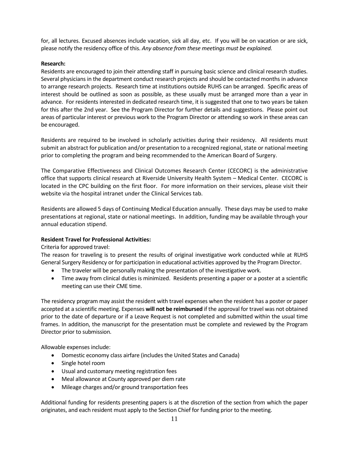for, all lectures. Excused absences include vacation, sick all day, etc. If you will be on vacation or are sick, please notify the residency office of this. *Any absence from these meetings must be explained.*

## **Research:**

Residents are encouraged to join their attending staff in pursuing basic science and clinical research studies. Several physicians in the department conduct research projects and should be contacted months in advance to arrange research projects. Research time at institutions outside RUHS can be arranged. Specific areas of interest should be outlined as soon as possible, as these usually must be arranged more than a year in advance. For residents interested in dedicated research time, it is suggested that one to two years be taken for this after the 2nd year. See the Program Director for further details and suggestions. Please point out areas of particular interest or previous work to the Program Director or attending so work in these areas can be encouraged.

Residents are required to be involved in scholarly activities during their residency. All residents must submit an abstract for publication and/or presentation to a recognized regional, state or national meeting prior to completing the program and being recommended to the American Board of Surgery.

The Comparative Effectiveness and Clinical Outcomes Research Center (CECORC) is the administrative office that supports clinical research at Riverside University Health System – Medical Center. CECORC is located in the CPC building on the first floor. For more information on their services, please visit their website via the hospital intranet under the Clinical Services tab.

Residents are allowed 5 days of Continuing Medical Education annually. These days may be used to make presentations at regional, state or national meetings. In addition, funding may be available through your annual education stipend.

## **Resident Travel for Professional Activities:**

Criteria for approved travel:

The reason for traveling is to present the results of original investigative work conducted while at RUHS General Surgery Residency or for participation in educational activities approved by the Program Director.

- The traveler will be personally making the presentation of the investigative work.
- Time away from clinical duties is minimized. Residents presenting a paper or a poster at a scientific meeting can use their CME time.

The residency program may assist the resident with travel expenses when the resident has a poster or paper accepted at a scientific meeting. Expenses **will not be reimbursed** if the approval for travel was not obtained prior to the date of departure or if a Leave Request is not completed and submitted within the usual time frames. In addition, the manuscript for the presentation must be complete and reviewed by the Program Director prior to submission.

Allowable expenses include:

- Domestic economy class airfare (includes the United States and Canada)
- Single hotel room
- Usual and customary meeting registration fees
- Meal allowance at County approved per diem rate
- Mileage charges and/or ground transportation fees

Additional funding for residents presenting papers is at the discretion of the section from which the paper originates, and each resident must apply to the Section Chief for funding prior to the meeting.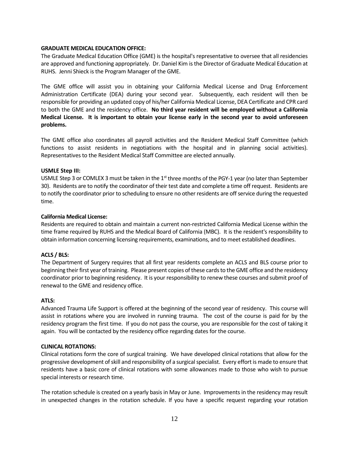#### **GRADUATE MEDICAL EDUCATION OFFICE:**

The Graduate Medical Education Office (GME) is the hospital's representative to oversee that all residencies are approved and functioning appropriately. Dr. Daniel Kim is the Director of Graduate Medical Education at RUHS. Jenni Shieck is the Program Manager of the GME.

The GME office will assist you in obtaining your California Medical License and Drug Enforcement Administration Certificate (DEA) during your second year. Subsequently, each resident will then be responsible for providing an updated copy of his/her California Medical License, DEA Certificate and CPR card to both the GME and the residency office. **No third year resident will be employed without a California Medical License. It is important to obtain your license early in the second year to avoid unforeseen problems.**

The GME office also coordinates all payroll activities and the Resident Medical Staff Committee (which functions to assist residents in negotiations with the hospital and in planning social activities). Representatives to the Resident Medical Staff Committee are elected annually.

#### **USMLE Step III:**

USMLE Step 3 or COMLEX 3 must be taken in the  $1<sup>st</sup>$  three months of the PGY-1 year (no later than September 30). Residents are to notify the coordinator of their test date and complete a time off request. Residents are to notify the coordinator prior to scheduling to ensure no other residents are off service during the requested time.

#### **California Medical License:**

Residents are required to obtain and maintain a current non-restricted California Medical License within the time frame required by RUHS and the Medical Board of California (MBC). It is the resident's responsibility to obtain information concerning licensing requirements, examinations, and to meet established deadlines.

## **ACLS / BLS:**

The Department of Surgery requires that all first year residents complete an ACLS and BLS course prior to beginning their first year of training. Please present copies of these cards to the GME office and the residency coordinator prior to beginning residency. It is your responsibility to renew these courses and submit proof of renewal to the GME and residency office.

#### **ATLS:**

Advanced Trauma Life Support is offered at the beginning of the second year of residency. This course will assist in rotations where you are involved in running trauma. The cost of the course is paid for by the residency program the first time. If you do not pass the course, you are responsible for the cost of taking it again. You will be contacted by the residency office regarding dates for the course.

#### **CLINICAL ROTATIONS:**

Clinical rotations form the core of surgical training. We have developed clinical rotations that allow for the progressive development of skill and responsibility of a surgical specialist. Every effort is made to ensure that residents have a basic core of clinical rotations with some allowances made to those who wish to pursue special interests or research time.

The rotation schedule is created on a yearly basis in May or June. Improvements in the residency may result in unexpected changes in the rotation schedule. If you have a specific request regarding your rotation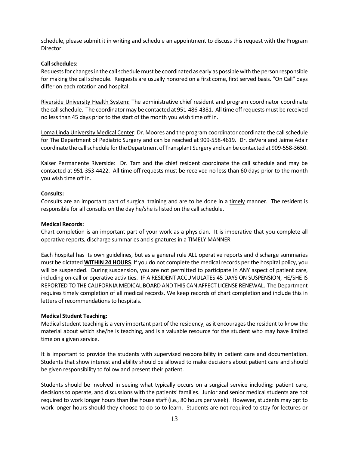schedule, please submit it in writing and schedule an appointment to discuss this request with the Program Director.

#### **Call schedules:**

Requests for changes in the call schedule must be coordinated as early as possible with the person responsible for making the call schedule. Requests are usually honored on a first come, first served basis. "On Call" days differ on each rotation and hospital:

Riverside University Health System: The administrative chief resident and program coordinator coordinate the call schedule. The coordinator may be contacted at 951-486-4381. All time off requests must be received no less than 45 days prior to the start of the month you wish time off in.

Loma Linda University Medical Center: Dr. Moores and the program coordinator coordinate the call schedule for The Department of Pediatric Surgery and can be reached at 909-558-4619. Dr. deVera and Jaime Adair coordinate the call schedule for the Department of Transplant Surgery and can be contacted at 909-558-3650.

Kaiser Permanente Riverside: Dr. Tam and the chief resident coordinate the call schedule and may be contacted at 951-353-4422. All time off requests must be received no less than 60 days prior to the month you wish time off in.

#### **Consults:**

Consults are an important part of surgical training and are to be done in a timely manner. The resident is responsible for all consults on the day he/she is listed on the call schedule.

#### **Medical Records:**

Chart completion is an important part of your work as a physician. It is imperative that you complete all operative reports, discharge summaries and signatures in a TIMELY MANNER

Each hospital has its own guidelines, but as a general rule ALL operative reports and discharge summaries must be dictated **WITHIN 24 HOURS**. If you do not complete the medical records per the hospital policy, you will be suspended. During suspension, you are not permitted to participate in ANY aspect of patient care, including on-call or operative activities. IF A RESIDENT ACCUMULATES 45 DAYS ON SUSPENSION, HE/SHE IS REPORTED TO THE CALIFORNIA MEDICAL BOARD AND THIS CAN AFFECT LICENSE RENEWAL. The Department requires timely completion of all medical records. We keep records of chart completion and include this in letters of recommendations to hospitals.

#### **Medical Student Teaching:**

Medical student teaching is a very important part of the residency, as it encourages the resident to know the material about which she/he is teaching, and is a valuable resource for the student who may have limited time on a given service.

It is important to provide the students with supervised responsibility in patient care and documentation. Students that show interest and ability should be allowed to make decisions about patient care and should be given responsibility to follow and present their patient.

Students should be involved in seeing what typically occurs on a surgical service including: patient care, decisions to operate, and discussions with the patients' families. Junior and senior medical students are not required to work longer hours than the house staff (i.e., 80 hours per week). However, students may opt to work longer hours should they choose to do so to learn. Students are not required to stay for lectures or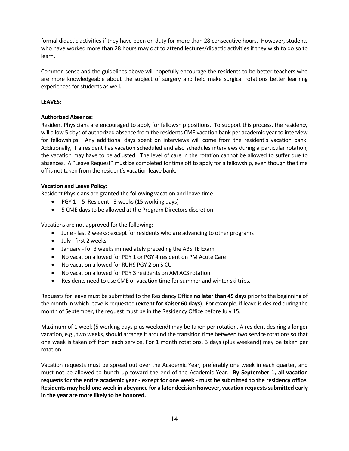formal didactic activities if they have been on duty for more than 28 consecutive hours. However, students who have worked more than 28 hours may opt to attend lectures/didactic activities if they wish to do so to learn.

Common sense and the guidelines above will hopefully encourage the residents to be better teachers who are more knowledgeable about the subject of surgery and help make surgical rotations better learning experiences for students as well.

# **LEAVES:**

# **Authorized Absence:**

Resident Physicians are encouraged to apply for fellowship positions. To support this process, the residency will allow 5 days of authorized absence from the residents CME vacation bank per academic year to interview for fellowships. Any additional days spent on interviews will come from the resident's vacation bank. Additionally, if a resident has vacation scheduled and also schedules interviews during a particular rotation, the vacation may have to be adjusted. The level of care in the rotation cannot be allowed to suffer due to absences. A "Leave Request" must be completed for time off to apply for a fellowship, even though the time off is not taken from the resident's vacation leave bank.

## **Vacation and Leave Policy:**

Resident Physicians are granted the following vacation and leave time.

- PGY 1 5 Resident 3 weeks (15 working days)
- 5 CME days to be allowed at the Program Directors discretion

Vacations are not approved for the following:

- June last 2 weeks: except for residents who are advancing to other programs
- July first 2 weeks
- January for 3 weeks immediately preceding the ABSITE Exam
- No vacation allowed for PGY 1 or PGY 4 resident on PM Acute Care
- No vacation allowed for RUHS PGY 2 on SICU
- No vacation allowed for PGY 3 residents on AM ACS rotation
- Residents need to use CME or vacation time for summer and winter ski trips.

Requests for leave must be submitted to the Residency Office **no later than 45 days** prior to the beginning of the month in which leave is requested (**except for Kaiser 60 days**). For example, if leave is desired during the month of September, the request must be in the Residency Office before July 15.

Maximum of 1 week (5 working days plus weekend) may be taken per rotation. A resident desiring a longer vacation, e.g., two weeks, should arrange it around the transition time between two service rotations so that one week is taken off from each service. For 1 month rotations, 3 days (plus weekend) may be taken per rotation.

Vacation requests must be spread out over the Academic Year, preferably one week in each quarter, and must not be allowed to bunch up toward the end of the Academic Year. **By September 1, all vacation requests for the entire academic year - except for one week - must be submitted to the residency office. Residents may hold one week in abeyance for a later decision however, vacation requests submitted early in the year are more likely to be honored.**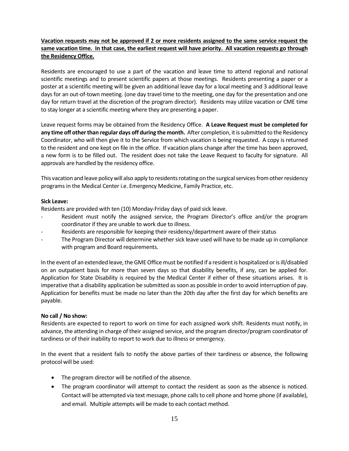# **Vacation requests may not be approved if 2 or more residents assigned to the same service request the same vacation time. In that case, the earliest request will have priority. All vacation requests go through the Residency Office.**

Residents are encouraged to use a part of the vacation and leave time to attend regional and national scientific meetings and to present scientific papers at those meetings. Residents presenting a paper or a poster at a scientific meeting will be given an additional leave day for a local meeting and 3 additional leave days for an out-of-town meeting. (one day travel time to the meeting, one day for the presentation and one day for return travel at the discretion of the program director). Residents may utilize vacation or CME time to stay longer at a scientific meeting where they are presenting a paper.

Leave request forms may be obtained from the Residency Office. **A Leave Request must be completed for any time off other than regular days off during the month.** After completion, it is submitted to the Residency Coordinator, who will then give it to the Service from which vacation is being requested. A copy is returned to the resident and one kept on file in the office. If vacation plans change after the time has been approved, a new form is to be filled out. The resident does not take the Leave Request to faculty for signature. All approvals are handled by the residency office.

This vacation and leave policy will also apply to residents rotating on the surgical services from other residency programs in the Medical Center i.e. Emergency Medicine, Family Practice, etc.

# **Sick Leave:**

Residents are provided with ten (10) Monday-Friday days of paid sick leave.

- Resident must notify the assigned service, the Program Director's office and/or the program coordinator if they are unable to work due to illness.
- Residents are responsible for keeping their residency/department aware of their status
- The Program Director will determine whether sick leave used will have to be made up in compliance with program and Board requirements.

In the event of an extended leave, the GME Office must be notified if a resident is hospitalized or is ill/disabled on an outpatient basis for more than seven days so that disability benefits, if any, can be applied for. Application for State Disability is required by the Medical Center if either of these situations arises. It is imperative that a disability application be submitted as soon as possible in order to avoid interruption of pay. Application for benefits must be made no later than the 20th day after the first day for which benefits are payable.

## **No call / No show:**

Residents are expected to report to work on time for each assigned work shift. Residents must notify, in advance, the attending in charge of their assigned service, and the program director/program coordinator of tardiness or of their inability to report to work due to illness or emergency.

In the event that a resident fails to notify the above parties of their tardiness or absence, the following protocol will be used:

- The program director will be notified of the absence.
- The program coordinator will attempt to contact the resident as soon as the absence is noticed. Contact will be attempted via text message, phone calls to cell phone and home phone (if available), and email. Multiple attempts will be made to each contact method.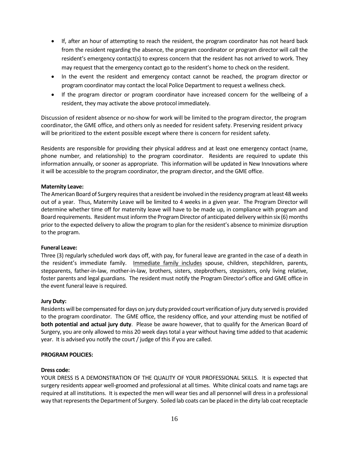- If, after an hour of attempting to reach the resident, the program coordinator has not heard back from the resident regarding the absence, the program coordinator or program director will call the resident's emergency contact(s) to express concern that the resident has not arrived to work. They may request that the emergency contact go to the resident's home to check on the resident.
- In the event the resident and emergency contact cannot be reached, the program director or program coordinator may contact the local Police Department to request a wellness check.
- If the program director or program coordinator have increased concern for the wellbeing of a resident, they may activate the above protocol immediately.

Discussion of resident absence or no-show for work will be limited to the program director, the program coordinator, the GME office, and others only as needed for resident safety. Preserving resident privacy will be prioritized to the extent possible except where there is concern for resident safety.

Residents are responsible for providing their physical address and at least one emergency contact (name, phone number, and relationship) to the program coordinator. Residents are required to update this information annually, or sooner as appropriate. This information will be updated in New Innovations where it will be accessible to the program coordinator, the program director, and the GME office.

## **Maternity Leave:**

The American Board of Surgery requires that a resident be involved in the residency program at least 48 weeks out of a year. Thus, Maternity Leave will be limited to 4 weeks in a given year. The Program Director will determine whether time off for maternity leave will have to be made up, in compliance with program and Board requirements. Resident must inform the Program Director of anticipated delivery within six (6) months prior to the expected delivery to allow the program to plan for the resident's absence to minimize disruption to the program.

## **Funeral Leave:**

Three (3) regularly scheduled work days off, with pay, for funeral leave are granted in the case of a death in the resident's immediate family. Immediate family includes spouse, children, stepchildren, parents, stepparents, father-in-law, mother-in-law, brothers, sisters, stepbrothers, stepsisters, only living relative, foster parents and legal guardians. The resident must notify the Program Director's office and GME office in the event funeral leave is required.

## **Jury Duty:**

Residents will be compensated for days on jury duty provided court verification of jury duty served is provided to the program coordinator. The GME office, the residency office, and your attending must be notified of **both potential and actual jury duty**. Please be aware however, that to qualify for the American Board of Surgery, you are only allowed to miss 20 week days total a year without having time added to that academic year. It is advised you notify the court / judge of this if you are called.

## **PROGRAM POLICIES:**

## **Dress code:**

YOUR DRESS IS A DEMONSTRATION OF THE QUALITY OF YOUR PROFESSIONAL SKILLS. It is expected that surgery residents appear well-groomed and professional at all times. White clinical coats and name tags are required at all institutions. It is expected the men will wear ties and all personnel will dress in a professional way that represents the Department of Surgery. Soiled lab coats can be placed in the dirty lab coat receptacle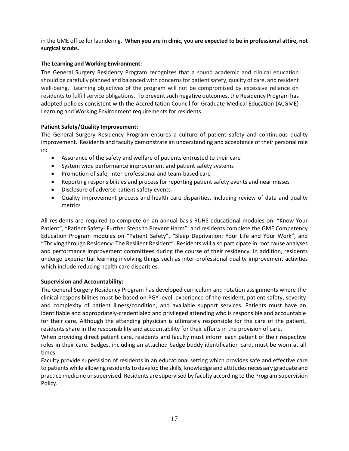in the GME office for laundering. **When you are in clinic, you are expected to be in professional attire, not surgical scrubs.**

# **The Learning and Working Environment:**

The General Surgery Residency Program recognizes that a sound academic and clinical education should be carefully planned and balanced with concerns for patient safety, quality of care, and resident well-being. Learning objectives of the program will not be compromised by excessive reliance on residents to fulfill service obligations. To prevent such negative outcomes, the Residency Program has adopted policies consistent with the Accreditation Council for Graduate Medical Education (ACGME) Learning and Working Environment requirements for residents.

## **Patient Safety/Quality Improvement:**

The General Surgery Residency Program ensures a culture of patient safety and continuous quality improvement. Residents and faculty demonstrate an understanding and acceptance of their personal role in:

- Assurance of the safety and welfare of patients entrusted to their care
- System wide performance improvement and patient safety systems
- Promotion of safe, inter-professional and team-based care
- Reporting responsibilities and process for reporting patient safety events and near misses
- Disclosure of adverse patient safety events
- Quality improvement process and health care disparities, including review of data and quality metrics

All residents are required to complete on an annual basis RUHS educational modules on: "Know Your Patient", "Patient Safety- Further Steps to Prevent Harm"; and residents complete the GME Competency Education Program modules on "Patient Safety", "Sleep Deprivation: Your Life and Your Work", and "Thriving through Residency: The Resilient Resident". Residents will also participate in root cause analyses and performance improvement committees during the course of their residency. In addition, residents undergo experiential learning involving things such as inter-professional quality improvement activities which include reducing health care disparities.

## **Supervision and Accountability:**

The General Surgery Residency Program has developed curriculum and rotation assignments where the clinical responsibilities must be based on PGY level, experience of the resident, patient safety, severity and complexity of patient illness/condition, and available support services. Patients must have an identifiable and appropriately-credentialed and privileged attending who is responsible and accountable for their care. Although the attending physician is ultimately responsible for the care of the patient, residents share in the responsibility and accountability for their efforts in the provision of care.

When providing direct patient care, residents and faculty must inform each patient of their respective roles in their care. Badges, including an attached badge buddy identification card, must be worn at all times.

Faculty provide supervision of residents in an educational setting which provides safe and effective care to patients while allowing residents to develop the skills, knowledge and attitudes necessary graduate and practice medicine unsupervised. Residents are supervised by faculty according to the Program Supervision Policy.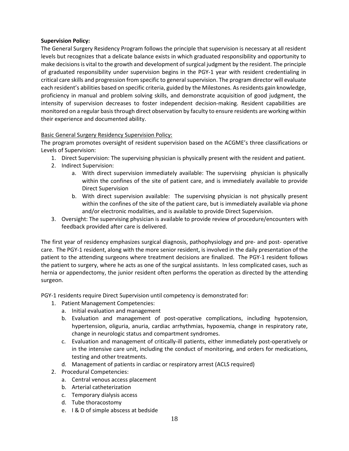# **Supervision Policy:**

The General Surgery Residency Program follows the principle that supervision is necessary at all resident levels but recognizes that a delicate balance exists in which graduated responsibility and opportunity to make decisions is vital to the growth and development of surgical judgment by the resident. The principle of graduated responsibility under supervision begins in the PGY-1 year with resident credentialing in critical care skills and progression from specific to general supervision. The program director will evaluate each resident's abilities based on specific criteria, guided by the Milestones. As residents gain knowledge, proficiency in manual and problem solving skills, and demonstrate acquisition of good judgment, the intensity of supervision decreases to foster independent decision-making. Resident capabilities are monitored on a regular basis through direct observation by faculty to ensure residents are working within their experience and documented ability.

# Basic General Surgery Residency Supervision Policy:

The program promotes oversight of resident supervision based on the ACGME's three classifications or Levels of Supervision:

- 1. Direct Supervision: The supervising physician is physically present with the resident and patient.
- 2. Indirect Supervision:
	- a. With direct supervision immediately available: The supervising physician is physically within the confines of the site of patient care, and is immediately available to provide Direct Supervision
	- b. With direct supervision available: The supervising physician is not physically present within the confines of the site of the patient care, but is immediately available via phone and/or electronic modalities, and is available to provide Direct Supervision.
- 3. Oversight: The supervising physician is available to provide review of procedure/encounters with feedback provided after care is delivered.

The first year of residency emphasizes surgical diagnosis, pathophysiology and pre- and post- operative care. The PGY-1 resident, along with the more senior resident, is involved in the daily presentation of the patient to the attending surgeons where treatment decisions are finalized. The PGY-1 resident follows the patient to surgery, where he acts as one of the surgical assistants. In less complicated cases, such as hernia or appendectomy, the junior resident often performs the operation as directed by the attending surgeon.

PGY-1 residents require Direct Supervision until competency is demonstrated for:

- 1. Patient Management Competencies:
	- a. Initial evaluation and management
	- b. Evaluation and management of post-operative complications, including hypotension, hypertension, oliguria, anuria, cardiac arrhythmias, hypoxemia, change in respiratory rate, change in neurologic status and compartment syndromes.
	- c. Evaluation and management of critically-ill patients, either immediately post-operatively or in the intensive care unit, including the conduct of monitoring, and orders for medications, testing and other treatments.
	- d. Management of patients in cardiac or respiratory arrest (ACLS required)
- 2. Procedural Competencies:
	- a. Central venous access placement
	- b. Arterial catheterization
	- c. Temporary dialysis access
	- d. Tube thoracostomy
	- e. I & D of simple abscess at bedside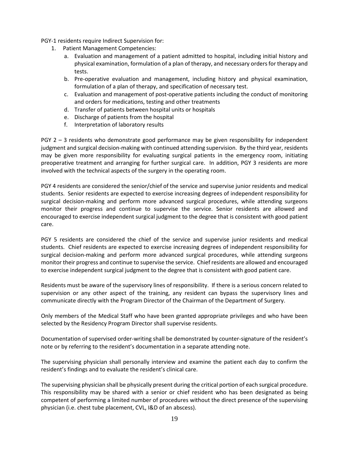PGY-1 residents require Indirect Supervision for:

- 1. Patient Management Competencies:
	- a. Evaluation and management of a patient admitted to hospital, including initial history and physical examination, formulation of a plan of therapy, and necessary orders for therapy and tests.
	- b. Pre-operative evaluation and management, including history and physical examination, formulation of a plan of therapy, and specification of necessary test.
	- c. Evaluation and management of post-operative patients including the conduct of monitoring and orders for medications, testing and other treatments
	- d. Transfer of patients between hospital units or hospitals
	- e. Discharge of patients from the hospital
	- f. Interpretation of laboratory results

PGY 2 – 3 residents who demonstrate good performance may be given responsibility for independent judgment and surgical decision-making with continued attending supervision. By the third year, residents may be given more responsibility for evaluating surgical patients in the emergency room, initiating preoperative treatment and arranging for further surgical care. In addition, PGY 3 residents are more involved with the technical aspects of the surgery in the operating room.

PGY 4 residents are considered the senior/chief of the service and supervise junior residents and medical students. Senior residents are expected to exercise increasing degrees of independent responsibility for surgical decision-making and perform more advanced surgical procedures, while attending surgeons monitor their progress and continue to supervise the service. Senior residents are allowed and encouraged to exercise independent surgical judgment to the degree that is consistent with good patient care.

PGY 5 residents are considered the chief of the service and supervise junior residents and medical students. Chief residents are expected to exercise increasing degrees of independent responsibility for surgical decision-making and perform more advanced surgical procedures, while attending surgeons monitor their progress and continue to supervise the service. Chief residents are allowed and encouraged to exercise independent surgical judgment to the degree that is consistent with good patient care.

Residents must be aware of the supervisory lines of responsibility. If there is a serious concern related to supervision or any other aspect of the training, any resident can bypass the supervisory lines and communicate directly with the Program Director of the Chairman of the Department of Surgery.

Only members of the Medical Staff who have been granted appropriate privileges and who have been selected by the Residency Program Director shall supervise residents.

Documentation of supervised order-writing shall be demonstrated by counter-signature of the resident's note or by referring to the resident's documentation in a separate attending note.

The supervising physician shall personally interview and examine the patient each day to confirm the resident's findings and to evaluate the resident's clinical care.

The supervising physician shall be physically present during the critical portion of each surgical procedure. This responsibility may be shared with a senior or chief resident who has been designated as being competent of performing a limited number of procedures without the direct presence of the supervising physician (i.e. chest tube placement, CVL, I&D of an abscess).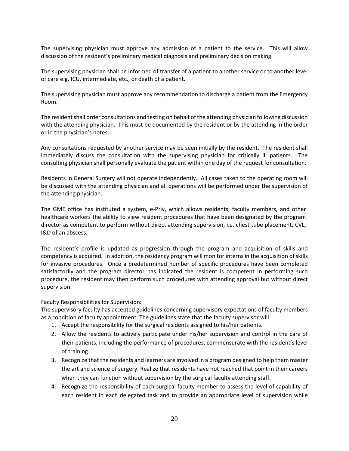The supervising physician must approve any admission of a patient to the service. This will allow discussion of the resident's preliminary medical diagnosis and preliminary decision making.

The supervising physician shall be informed of transfer of a patient to another service or to another level of care e.g. ICU, intermediate, etc., or death of a patient.

The supervising physician must approve any recommendation to discharge a patient from the Emergency Room.

The resident shall order consultations and testing on behalf of the attending physician following discussion with the attending physician. This must be documented by the resident or by the attending in the order or in the physician's notes.

Any consultations requested by another service may be seen initially by the resident. The resident shall immediately discuss the consultation with the supervising physician for critically ill patients. The consulting physician shall personally evaluate the patient within one day of the request for consultation.

Residents in General Surgery will not operate independently. All cases taken to the operating room will be discussed with the attending physician and all operations will be performed under the supervision of the attending physician.

The GME office has instituted a system, e-Priv, which allows residents, faculty members, and other healthcare workers the ability to view resident procedures that have been designated by the program director as competent to perform without direct attending supervision, i.e. chest tube placement, CVL, I&D of an abscess.

The resident's profile is updated as progression through the program and acquisition of skills and competency is acquired. In addition, the residency program will monitor interns in the acquisition of skills for invasive procedures. Once a predetermined number of specific procedures have been completed satisfactorily and the program director has indicated the resident is competent in performing such procedure, the resident may then perform such procedures with attending approval but without direct supervision.

## Faculty Responsibilities for Supervision**:**

The supervisory faculty has accepted guidelines concerning supervisory expectations of faculty members as a condition of faculty appointment. The guidelines state that the faculty supervisor will:

- 1. Accept the responsibility for the surgical residents assigned to his/her patients.
- 2. Allow the residents to actively participate under his/her supervision and control in the care of their patients, including the performance of procedures, commensurate with the resident's level of training.
- 3. Recognize that the residents and learners are involved in a program designed to help them master the art and science of surgery. Realize that residents have not reached that point in their careers when they can function without supervision by the surgical faculty attending staff.
- 4. Recognize the responsibility of each surgical faculty member to assess the level of capability of each resident in each delegated task and to provide an appropriate level of supervision while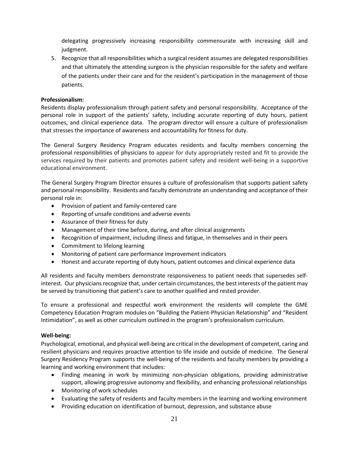delegating progressively increasing responsibility commensurate with increasing skill and judgment.

5. Recognize that all responsibilities which a surgical resident assumes are delegated responsibilities and that ultimately the attending surgeon is the physician responsible for the safety and welfare of the patients under their care and for the resident's participation in the management of those patients.

# **Professionalism:**

Residents display professionalism through patient safety and personal responsibility. Acceptance of the personal role in support of the patients' safety, including accurate reporting of duty hours, patient outcomes, and clinical experience data. The program director will ensure a culture of professionalism that stresses the importance of awareness and accountability for fitness for duty.

The General Surgery Residency Program educates residents and faculty members concerning the professional responsibilities of physicians to appear for duty appropriately rested and fit to provide the services required by their patients and promotes patient safety and resident well-being in a supportive educational environment.

The General Surgery Program Director ensures a culture of professionalism that supports patient safety and personal responsibility. Residents and faculty demonstrate an understanding and acceptance of their personal role in:

- Provision of patient and family-centered care
- Reporting of unsafe conditions and adverse events
- Assurance of their fitness for duty
- Management of their time before, during, and after clinical assignments
- Recognition of impairment, including illness and fatigue, in themselves and in their peers
- Commitment to lifelong learning
- Monitoring of patient care performance improvement indicators
- Honest and accurate reporting of duty hours, patient outcomes and clinical experience data

All residents and faculty members demonstrate responsiveness to patient needs that supersedes selfinterest. Our physicians recognize that, under certain circumstances, the best interests of the patient may be served by transitioning that patient's care to another qualified and rested provider.

To ensure a professional and respectful work environment the residents will complete the GME Competency Education Program modules on "Building the Patient-Physician Relationship" and "Resident Intimidation", as well as other curriculum outlined in the program's professionalism curriculum.

## **Well-being:**

Psychological, emotional, and physical well-being are critical in the development of competent, caring and resilient physicians and requires proactive attention to life inside and outside of medicine. The General Surgery Residency Program supports the well-being of the residents and faculty members by providing a learning and working environment that includes:

- Finding meaning in work by minimizing non-physician obligations, providing administrative support, allowing progressive autonomy and flexibility, and enhancing professional relationships
- Monitoring of work schedules
- Evaluating the safety of residents and faculty members in the learning and working environment
- Providing education on identification of burnout, depression, and substance abuse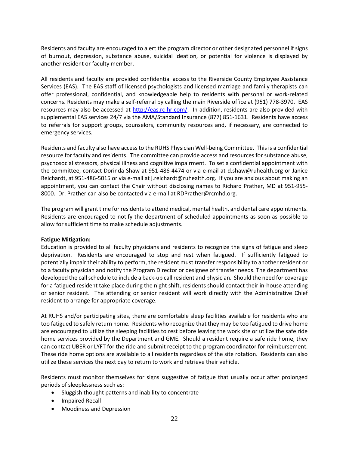Residents and faculty are encouraged to alert the program director or other designated personnel if signs of burnout, depression, substance abuse, suicidal ideation, or potential for violence is displayed by another resident or faculty member.

All residents and faculty are provided confidential access to the Riverside County Employee Assistance Services (EAS). The EAS staff of licensed psychologists and licensed marriage and family therapists can offer professional, confidential, and knowledgeable help to residents with personal or work-related concerns. Residents may make a self-referral by calling the main Riverside office at (951) 778-3970. EAS resources may also be accessed at [http://eas.rc-hr.com/.](http://eas.rc-hr.com/) In addition, residents are also provided with supplemental EAS services 24/7 via the AMA/Standard Insurance (877) 851-1631. Residents have access to referrals for support groups, counselors, community resources and, if necessary, are connected to emergency services.

Residents and faculty also have access to the RUHS Physician Well-being Committee. This is a confidential resource for faculty and residents. The committee can provide access and resources for substance abuse, psychosocial stressors, physical illness and cognitive impairment. To set a confidential appointment with the committee, contact Dorinda Shaw at 951-486-4474 or via e-mail at d.shaw@ruhealth.org or Janice Reichardt, at 951-486-5015 or via e-mail at j.reichardt@ruhealth.org. If you are anxious about making an appointment, you can contact the Chair without disclosing names to Richard Prather, MD at 951-955- 8000. Dr. Prather can also be contacted via e-mail at RDPrather@rcmhd.org.

The program will grant time for residents to attend medical, mental health, and dental care appointments. Residents are encouraged to notify the department of scheduled appointments as soon as possible to allow for sufficient time to make schedule adjustments.

## **Fatigue Mitigation:**

Education is provided to all faculty physicians and residents to recognize the signs of fatigue and sleep deprivation. Residents are encouraged to stop and rest when fatigued. If sufficiently fatigued to potentially impair their ability to perform, the resident must transfer responsibility to another resident or to a faculty physician and notify the Program Director or designee of transfer needs. The department has developed the call schedule to include a back-up call resident and physician. Should the need for coverage for a fatigued resident take place during the night shift, residents should contact their in-house attending or senior resident. The attending or senior resident will work directly with the Administrative Chief resident to arrange for appropriate coverage.

At RUHS and/or participating sites, there are comfortable sleep facilities available for residents who are too fatigued to safely return home. Residents who recognize that they may be too fatigued to drive home are encouraged to utilize the sleeping facilities to rest before leaving the work site or utilize the safe ride home services provided by the Department and GME. Should a resident require a safe ride home, they can contact UBER or LYFT for the ride and submit receipt to the program coordinator for reimbursement. These ride home options are available to all residents regardless of the site rotation. Residents can also utilize these services the next day to return to work and retrieve their vehicle.

Residents must monitor themselves for signs suggestive of fatigue that usually occur after prolonged periods of sleeplessness such as:

- Sluggish thought patterns and inability to concentrate
- Impaired Recall
- Moodiness and Depression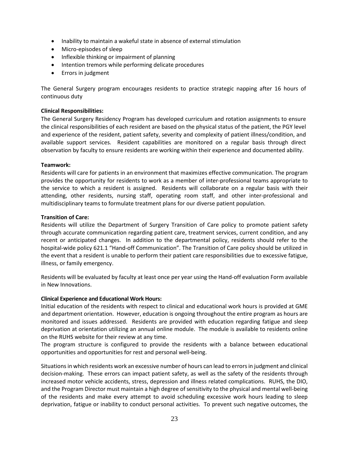- Inability to maintain a wakeful state in absence of external stimulation
- Micro-episodes of sleep
- Inflexible thinking or impairment of planning
- Intention tremors while performing delicate procedures
- Errors in judgment

The General Surgery program encourages residents to practice strategic napping after 16 hours of continuous duty

## **Clinical Responsibilities:**

The General Surgery Residency Program has developed curriculum and rotation assignments to ensure the clinical responsibilities of each resident are based on the physical status of the patient, the PGY level and experience of the resident, patient safety, severity and complexity of patient illness/condition, and available support services. Resident capabilities are monitored on a regular basis through direct observation by faculty to ensure residents are working within their experience and documented ability.

#### **Teamwork:**

Residents will care for patients in an environment that maximizes effective communication. The program provides the opportunity for residents to work as a member of inter-professional teams appropriate to the service to which a resident is assigned. Residents will collaborate on a regular basis with their attending, other residents, nursing staff, operating room staff, and other inter-professional and multidisciplinary teams to formulate treatment plans for our diverse patient population.

#### **Transition of Care:**

Residents will utilize the Department of Surgery Transition of Care policy to promote patient safety through accurate communication regarding patient care, treatment services, current condition, and any recent or anticipated changes. In addition to the departmental policy, residents should refer to the hospital-wide policy 621.1 "Hand-off Communication". The Transition of Care policy should be utilized in the event that a resident is unable to perform their patient care responsibilities due to excessive fatigue, illness, or family emergency.

Residents will be evaluated by faculty at least once per year using the Hand-off evaluation Form available in New Innovations.

#### **Clinical Experience and Educational Work Hours:**

Initial education of the residents with respect to clinical and educational work hours is provided at GME and department orientation. However, education is ongoing throughout the entire program as hours are monitored and issues addressed. Residents are provided with education regarding fatigue and sleep deprivation at orientation utilizing an annual online module. The module is available to residents online on the RUHS website for their review at any time.

The program structure is configured to provide the residents with a balance between educational opportunities and opportunities for rest and personal well-being.

Situations in which residents work an excessive number of hours can lead to errors in judgment and clinical decision-making. These errors can impact patient safety, as well as the safety of the residents through increased motor vehicle accidents, stress, depression and illness related complications. RUHS, the DIO, and the Program Director must maintain a high degree of sensitivity to the physical and mental well-being of the residents and make every attempt to avoid scheduling excessive work hours leading to sleep deprivation, fatigue or inability to conduct personal activities. To prevent such negative outcomes, the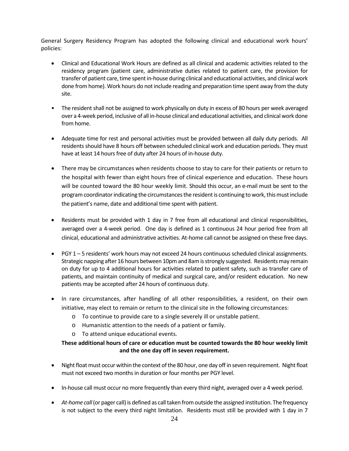General Surgery Residency Program has adopted the following clinical and educational work hours' policies:

- Clinical and Educational Work Hours are defined as all clinical and academic activities related to the residency program (patient care, administrative duties related to patient care, the provision for transfer of patient care, time spent in-house during clinical and educational activities, and clinical work done from home). Work hours do not include reading and preparation time spent away from the duty site.
- The resident shall not be assigned to work physically on duty in excess of 80 hours per week averaged over a 4-week period, inclusive of all in-house clinical and educational activities, and clinical work done from home.
- Adequate time for rest and personal activities must be provided between all daily duty periods. All residents should have 8 hours off between scheduled clinical work and education periods. They must have at least 14 hours free of duty after 24 hours of in-house duty.
- There may be circumstances when residents choose to stay to care for their patients or return to the hospital with fewer than eight hours free of clinical experience and education. These hours will be counted toward the 80 hour weekly limit. Should this occur, an e-mail must be sent to the program coordinator indicating the circumstances the resident is continuing to work, this must include the patient's name, date and additional time spent with patient.
- Residents must be provided with 1 day in 7 free from all educational and clinical responsibilities, averaged over a 4-week period. One day is defined as 1 continuous 24 hour period free from all clinical, educational and administrative activities. At-home call cannot be assigned on these free days.
- PGY 1 5 residents' work hours may not exceed 24 hours continuous scheduled clinical assignments. Strategic napping after 16 hours between 10pm and 8am is strongly suggested. Residents may remain on duty for up to 4 additional hours for activities related to patient safety, such as transfer care of patients, and maintain continuity of medical and surgical care, and/or resident education. No new patients may be accepted after 24 hours of continuous duty.
- In rare circumstances, after handling of all other responsibilities, a resident, on their own initiative, may elect to remain or return to the clinical site in the following circumstances:
	- o To continue to provide care to a single severely ill or unstable patient.
	- o Humanistic attention to the needs of a patient or family.
	- o To attend unique educational events.

# **These additional hours of care or education must be counted towards the 80 hour weekly limit and the one day off in seven requirement.**

- Night float must occur within the context of the 80 hour, one day off in seven requirement. Night float must not exceed two months in duration or four months per PGY level.
- In-house call must occur no more frequently than every third night, averaged over a 4 week period.
- *At-home call*(or pager call) is defined as call taken from outside the assigned institution. The frequency is not subject to the every third night limitation. Residents must still be provided with 1 day in 7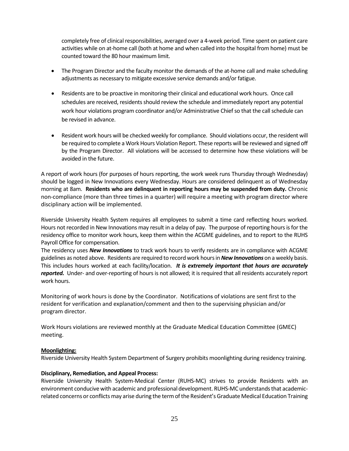completely free of clinical responsibilities, averaged over a 4-week period. Time spent on patient care activities while on at-home call (both at home and when called into the hospital from home) must be counted toward the 80 hour maximum limit.

- The Program Director and the faculty monitor the demands of the at-home call and make scheduling adjustments as necessary to mitigate excessive service demands and/or fatigue.
- Residents are to be proactive in monitoring their clinical and educational work hours. Once call schedules are received, residents should review the schedule and immediately report any potential work hour violations program coordinator and/or Administrative Chief so that the call schedule can be revised in advance.
- Resident work hours will be checked weekly for compliance. Should violations occur, the resident will be required to complete a Work Hours Violation Report. These reports will be reviewed and signed off by the Program Director. All violations will be accessed to determine how these violations will be avoided in the future.

A report of work hours (for purposes of hours reporting, the work week runs Thursday through Wednesday) should be logged in New Innovations every Wednesday. Hours are considered delinquent as of Wednesday morning at 8am. **Residents who are delinquent in reporting hours may be suspended from duty.** Chronic non-compliance (more than three times in a quarter) will require a meeting with program director where disciplinary action will be implemented.

Riverside University Health System requires all employees to submit a time card reflecting hours worked. Hours not recorded in New Innovations may result in a delay of pay. The purpose of reporting hours is for the residency office to monitor work hours, keep them within the ACGME guidelines, and to report to the RUHS Payroll Office for compensation.

The residency uses *New Innovations* to track work hours to verify residents are in compliance with ACGME guidelines as noted above. Residents are required to record work hours in *New Innovations* on a weekly basis. This includes hours worked at each facility/location. *It is extremely important that hours are accurately reported.* Under- and over-reporting of hours is not allowed; it is required that all residents accurately report work hours.

Monitoring of work hours is done by the Coordinator. Notifications of violations are sent first to the resident for verification and explanation/comment and then to the supervising physician and/or program director.

Work Hours violations are reviewed monthly at the Graduate Medical Education Committee (GMEC) meeting.

## **Moonlighting:**

Riverside University Health System Department of Surgery prohibits moonlighting during residency training.

## **Disciplinary, Remediation, and Appeal Process:**

Riverside University Health System-Medical Center (RUHS-MC) strives to provide Residents with an environment conducive with academic and professional development. RUHS-MC understands that academicrelated concerns or conflicts may arise during the term of the Resident's Graduate Medical Education Training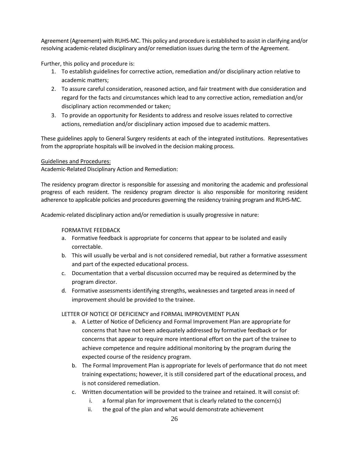Agreement (Agreement) with RUHS-MC. This policy and procedure is established to assist in clarifying and/or resolving academic-related disciplinary and/or remediation issues during the term of the Agreement.

Further, this policy and procedure is:

- 1. To establish guidelines for corrective action, remediation and/or disciplinary action relative to academic matters;
- 2. To assure careful consideration, reasoned action, and fair treatment with due consideration and regard for the facts and circumstances which lead to any corrective action, remediation and/or disciplinary action recommended or taken;
- 3. To provide an opportunity for Residents to address and resolve issues related to corrective actions, remediation and/or disciplinary action imposed due to academic matters.

These guidelines apply to General Surgery residents at each of the integrated institutions. Representatives from the appropriate hospitals will be involved in the decision making process.

## Guidelines and Procedures:

Academic-Related Disciplinary Action and Remediation:

The residency program director is responsible for assessing and monitoring the academic and professional progress of each resident. The residency program director is also responsible for monitoring resident adherence to applicable policies and procedures governing the residency training program and RUHS-MC.

Academic-related disciplinary action and/or remediation is usually progressive in nature:

## FORMATIVE FEEDBACK

- a. Formative feedback is appropriate for concerns that appear to be isolated and easily correctable.
- b. This will usually be verbal and is not considered remedial, but rather a formative assessment and part of the expected educational process.
- c. Documentation that a verbal discussion occurred may be required as determined by the program director.
- d. Formative assessments identifying strengths, weaknesses and targeted areas in need of improvement should be provided to the trainee.

## LETTER OF NOTICE OF DEFICIENCY and FORMAL IMPROVEMENT PLAN

- a. A Letter of Notice of Deficiency and Formal Improvement Plan are appropriate for concerns that have not been adequately addressed by formative feedback or for concerns that appear to require more intentional effort on the part of the trainee to achieve competence and require additional monitoring by the program during the expected course of the residency program.
- b. The Formal Improvement Plan is appropriate for levels of performance that do not meet training expectations; however, it is still considered part of the educational process, and is not considered remediation.
- c. Written documentation will be provided to the trainee and retained. It will consist of:
	- i. a formal plan for improvement that is clearly related to the concern(s)
	- ii. the goal of the plan and what would demonstrate achievement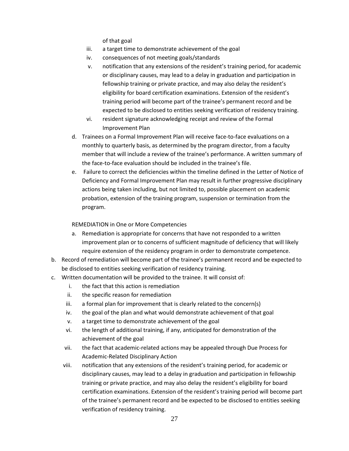of that goal

- iii. a target time to demonstrate achievement of the goal
- iv. consequences of not meeting goals/standards
- v. notification that any extensions of the resident's training period, for academic or disciplinary causes, may lead to a delay in graduation and participation in fellowship training or private practice, and may also delay the resident's eligibility for board certification examinations. Extension of the resident's training period will become part of the trainee's permanent record and be expected to be disclosed to entities seeking verification of residency training.
- vi. resident signature acknowledging receipt and review of the Formal Improvement Plan
- d. Trainees on a Formal Improvement Plan will receive face-to-face evaluations on a monthly to quarterly basis, as determined by the program director, from a faculty member that will include a review of the trainee's performance. A written summary of the face-to-face evaluation should be included in the trainee's file.
- e. Failure to correct the deficiencies within the timeline defined in the Letter of Notice of Deficiency and Formal Improvement Plan may result in further progressive disciplinary actions being taken including, but not limited to, possible placement on academic probation, extension of the training program, suspension or termination from the program.

## REMEDIATION in One or More Competencies

- a. Remediation is appropriate for concerns that have not responded to a written improvement plan or to concerns of sufficient magnitude of deficiency that will likely require extension of the residency program in order to demonstrate competence.
- b. Record of remediation will become part of the trainee's permanent record and be expected to be disclosed to entities seeking verification of residency training.
- c. Written documentation will be provided to the trainee. It will consist of:
	- i. the fact that this action is remediation
	- ii. the specific reason for remediation
	- iii. a formal plan for improvement that is clearly related to the concern(s)
	- iv. the goal of the plan and what would demonstrate achievement of that goal
	- v. a target time to demonstrate achievement of the goal
	- vi. the length of additional training, if any, anticipated for demonstration of the achievement of the goal
	- vii. the fact that academic-related actions may be appealed through Due Process for Academic-Related Disciplinary Action
	- viii. notification that any extensions of the resident's training period, for academic or disciplinary causes, may lead to a delay in graduation and participation in fellowship training or private practice, and may also delay the resident's eligibility for board certification examinations. Extension of the resident's training period will become part of the trainee's permanent record and be expected to be disclosed to entities seeking verification of residency training.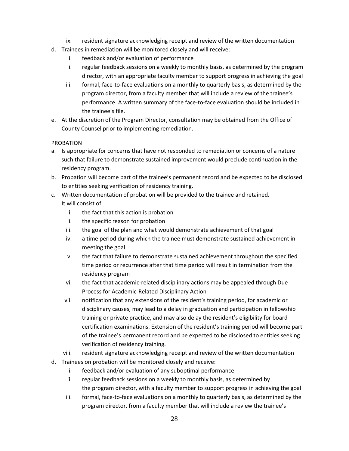- ix. resident signature acknowledging receipt and review of the written documentation
- d. Trainees in remediation will be monitored closely and will receive:
	- i. feedback and/or evaluation of performance
	- ii. regular feedback sessions on a weekly to monthly basis, as determined by the program director, with an appropriate faculty member to support progress in achieving the goal
	- iii. formal, face-to-face evaluations on a monthly to quarterly basis, as determined by the program director, from a faculty member that will include a review of the trainee's performance. A written summary of the face-to-face evaluation should be included in the trainee's file.
- e. At the discretion of the Program Director, consultation may be obtained from the Office of County Counsel prior to implementing remediation.

## PROBATION

- a. Is appropriate for concerns that have not responded to remediation or concerns of a nature such that failure to demonstrate sustained improvement would preclude continuation in the residency program.
- b. Probation will become part of the trainee's permanent record and be expected to be disclosed to entities seeking verification of residency training.
- c. Written documentation of probation will be provided to the trainee and retained. It will consist of:
	- i. the fact that this action is probation
	- ii. the specific reason for probation
	- iii. the goal of the plan and what would demonstrate achievement of that goal
	- iv. a time period during which the trainee must demonstrate sustained achievement in meeting the goal
	- v. the fact that failure to demonstrate sustained achievement throughout the specified time period or recurrence after that time period will result in termination from the residency program
	- vi. the fact that academic-related disciplinary actions may be appealed through Due Process for Academic-Related Disciplinary Action
	- vii. notification that any extensions of the resident's training period, for academic or disciplinary causes, may lead to a delay in graduation and participation in fellowship training or private practice, and may also delay the resident's eligibility for board certification examinations. Extension of the resident's training period will become part of the trainee's permanent record and be expected to be disclosed to entities seeking verification of residency training.
	- viii. resident signature acknowledging receipt and review of the written documentation
- d. Trainees on probation will be monitored closely and receive:
	- i. feedback and/or evaluation of any suboptimal performance
	- ii. regular feedback sessions on a weekly to monthly basis, as determined by the program director, with a faculty member to support progress in achieving the goal
	- iii. formal, face-to-face evaluations on a monthly to quarterly basis, as determined by the program director, from a faculty member that will include a review the trainee's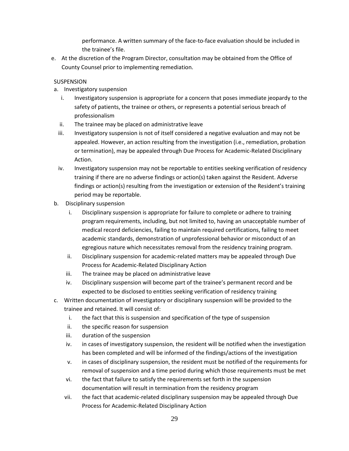performance. A written summary of the face-to-face evaluation should be included in the trainee's file.

e. At the discretion of the Program Director, consultation may be obtained from the Office of County Counsel prior to implementing remediation.

# **SUSPENSION**

- a. Investigatory suspension
	- i. Investigatory suspension is appropriate for a concern that poses immediate jeopardy to the safety of patients, the trainee or others, or represents a potential serious breach of professionalism
	- ii. The trainee may be placed on administrative leave
	- iii. Investigatory suspension is not of itself considered a negative evaluation and may not be appealed. However, an action resulting from the investigation (i.e., remediation, probation or termination), may be appealed through Due Process for Academic-Related Disciplinary Action.
	- iv. Investigatory suspension may not be reportable to entities seeking verification of residency training if there are no adverse findings or action(s) taken against the Resident. Adverse findings or action(s) resulting from the investigation or extension of the Resident's training period may be reportable.
- b. Disciplinary suspension
	- i. Disciplinary suspension is appropriate for failure to complete or adhere to training program requirements, including, but not limited to, having an unacceptable number of medical record deficiencies, failing to maintain required certifications, failing to meet academic standards, demonstration of unprofessional behavior or misconduct of an egregious nature which necessitates removal from the residency training program.
	- ii. Disciplinary suspension for academic-related matters may be appealed through Due Process for Academic-Related Disciplinary Action
	- iii. The trainee may be placed on administrative leave
	- iv. Disciplinary suspension will become part of the trainee's permanent record and be expected to be disclosed to entities seeking verification of residency training
- c. Written documentation of investigatory or disciplinary suspension will be provided to the trainee and retained. It will consist of:
	- i. the fact that this is suspension and specification of the type of suspension
	- ii. the specific reason for suspension
	- iii. duration of the suspension
	- iv. in cases of investigatory suspension, the resident will be notified when the investigation has been completed and will be informed of the findings/actions of the investigation
	- v. in cases of disciplinary suspension, the resident must be notified of the requirements for removal of suspension and a time period during which those requirements must be met
	- vi. the fact that failure to satisfy the requirements set forth in the suspension documentation will result in termination from the residency program
	- vii. the fact that academic-related disciplinary suspension may be appealed through Due Process for Academic-Related Disciplinary Action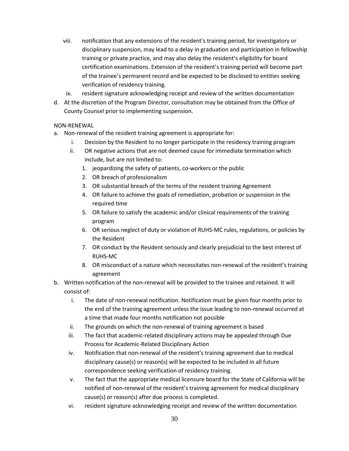- viii. notification that any extensions of the resident's training period, for investigatory or disciplinary suspension, may lead to a delay in graduation and participation in fellowship training or private practice, and may also delay the resident's eligibility for board certification examinations. Extension of the resident's training period will become part of the trainee's permanent record and be expected to be disclosed to entities seeking verification of residency training.
- ix. resident signature acknowledging receipt and review of the written documentation
- d. At the discretion of the Program Director, consultation may be obtained from the Office of County Counsel prior to implementing suspension.

# NON-RENEWAL

- a. Non-renewal of the resident training agreement is appropriate for:
	- i. Decision by the Resident to no longer participate in the residency training program
	- ii. OR negative actions that are not deemed cause for immediate termination which include, but are not limited to:
		- 1. jeopardizing the safety of patients, co-workers or the public
		- 2. OR breach of professionalism
		- 3. OR substantial breach of the terms of the resident training Agreement
		- 4. OR failure to achieve the goals of remediation, probation or suspension in the required time
		- 5. OR failure to satisfy the academic and/or clinical requirements of the training program
		- 6. OR serious neglect of duty or violation of RUHS-MC rules, regulations, or policies by the Resident
		- 7. OR conduct by the Resident seriously and clearly prejudicial to the best interest of RUHS-MC
		- 8. OR misconduct of a nature which necessitates non-renewal of the resident's training agreement
- b. Written notification of the non-renewal will be provided to the trainee and retained. It will consist of:
	- i. The date of non-renewal notification. Notification must be given four months prior to the end of the training agreement unless the issue leading to non-renewal occurred at a time that made four months notification not possible
	- ii. The grounds on which the non-renewal of training agreement is based
	- iii. The fact that academic-related disciplinary actions may be appealed through Due Process for Academic-Related Disciplinary Action
	- iv. Notification that non-renewal of the resident's training agreement due to medical disciplinary cause(s) or reason(s) will be expected to be included in all future correspondence seeking verification of residency training.
	- v. The fact that the appropriate medical licensure board for the State of California will be notified of non-renewal of the resident's training agreement for medical disciplinary cause(s) or reason(s) after due process is completed.
	- vi. resident signature acknowledging receipt and review of the written documentation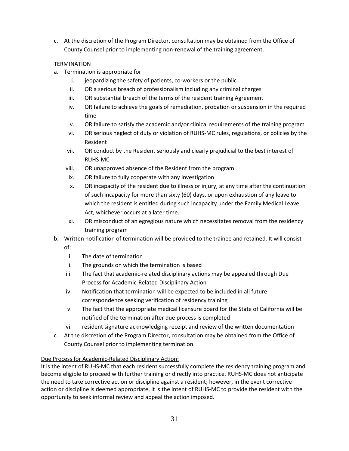c. At the discretion of the Program Director, consultation may be obtained from the Office of County Counsel prior to implementing non-renewal of the training agreement.

# **TERMINATION**

- a. Termination is appropriate for
	- i. jeopardizing the safety of patients, co-workers or the public
	- ii. OR a serious breach of professionalism including any criminal charges
	- iii. OR substantial breach of the terms of the resident training Agreement
	- iv. OR failure to achieve the goals of remediation, probation or suspension in the required time
	- v. OR failure to satisfy the academic and/or clinical requirements of the training program
	- vi. OR serious neglect of duty or violation of RUHS-MC rules, regulations, or policies by the Resident
	- vii. OR conduct by the Resident seriously and clearly prejudicial to the best interest of RUHS-MC
	- viii. OR unapproved absence of the Resident from the program
	- ix. OR failure to fully cooperate with any investigation
	- x. OR incapacity of the resident due to illness or injury, at any time after the continuation of such incapacity for more than sixty (60) days, or upon exhaustion of any leave to which the resident is entitled during such incapacity under the Family Medical Leave Act, whichever occurs at a later time.
	- xi. OR misconduct of an egregious nature which necessitates removal from the residency training program

# b. Written notification of termination will be provided to the trainee and retained. It will consist of:

- i. The date of termination
- ii. The grounds on which the termination is based
- iii. The fact that academic-related disciplinary actions may be appealed through Due Process for Academic-Related Disciplinary Action
- iv. Notification that termination will be expected to be included in all future correspondence seeking verification of residency training
- v. The fact that the appropriate medical licensure board for the State of California will be notified of the termination after due process is completed
- vi. resident signature acknowledging receipt and review of the written documentation
- c. At the discretion of the Program Director, consultation may be obtained from the Office of County Counsel prior to implementing termination.

# Due Process for Academic-Related Disciplinary Action:

It is the intent of RUHS-MC that each resident successfully complete the residency training program and become eligible to proceed with further training or directly into practice. RUHS-MC does not anticipate the need to take corrective action or discipline against a resident; however, in the event corrective action or discipline is deemed appropriate, it is the intent of RUHS-MC to provide the resident with the opportunity to seek informal review and appeal the action imposed.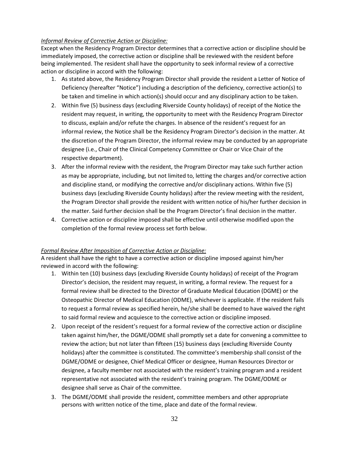# *Informal Review of Corrective Action or Discipline:*

Except when the Residency Program Director determines that a corrective action or discipline should be immediately imposed, the corrective action or discipline shall be reviewed with the resident before being implemented. The resident shall have the opportunity to seek informal review of a corrective action or discipline in accord with the following:

- 1. As stated above, the Residency Program Director shall provide the resident a Letter of Notice of Deficiency (hereafter "Notice") including a description of the deficiency, corrective action(s) to be taken and timeline in which action(s) should occur and any disciplinary action to be taken.
- 2. Within five (5) business days (excluding Riverside County holidays) of receipt of the Notice the resident may request, in writing, the opportunity to meet with the Residency Program Director to discuss, explain and/or refute the charges. In absence of the resident's request for an informal review, the Notice shall be the Residency Program Director's decision in the matter. At the discretion of the Program Director, the informal review may be conducted by an appropriate designee (i.e., Chair of the Clinical Competency Committee or Chair or Vice Chair of the respective department).
- 3. After the informal review with the resident, the Program Director may take such further action as may be appropriate, including, but not limited to, letting the charges and/or corrective action and discipline stand, or modifying the corrective and/or disciplinary actions. Within five (5) business days (excluding Riverside County holidays) after the review meeting with the resident, the Program Director shall provide the resident with written notice of his/her further decision in the matter. Said further decision shall be the Program Director's final decision in the matter.
- 4. Corrective action or discipline imposed shall be effective until otherwise modified upon the completion of the formal review process set forth below.

# *Formal Review After Imposition of Corrective Action or Discipline:*

A resident shall have the right to have a corrective action or discipline imposed against him/her reviewed in accord with the following:

- 1. Within ten (10) business days (excluding Riverside County holidays) of receipt of the Program Director's decision, the resident may request, in writing, a formal review. The request for a formal review shall be directed to the Director of Graduate Medical Education (DGME) or the Osteopathic Director of Medical Education (ODME), whichever is applicable. If the resident fails to request a formal review as specified herein, he/she shall be deemed to have waived the right to said formal review and acquiesce to the corrective action or discipline imposed.
- 2. Upon receipt of the resident's request for a formal review of the corrective action or discipline taken against him/her, the DGME/ODME shall promptly set a date for convening a committee to review the action; but not later than fifteen (15) business days (excluding Riverside County holidays) after the committee is constituted. The committee's membership shall consist of the DGME/ODME or designee, Chief Medical Officer or designee, Human Resources Director or designee, a faculty member not associated with the resident's training program and a resident representative not associated with the resident's training program. The DGME/ODME or designee shall serve as Chair of the committee.
- 3. The DGME/ODME shall provide the resident, committee members and other appropriate persons with written notice of the time, place and date of the formal review.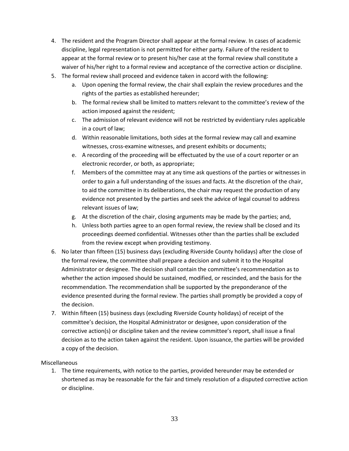- 4. The resident and the Program Director shall appear at the formal review. In cases of academic discipline, legal representation is not permitted for either party. Failure of the resident to appear at the formal review or to present his/her case at the formal review shall constitute a waiver of his/her right to a formal review and acceptance of the corrective action or discipline.
- 5. The formal review shall proceed and evidence taken in accord with the following:
	- a. Upon opening the formal review, the chair shall explain the review procedures and the rights of the parties as established hereunder;
	- b. The formal review shall be limited to matters relevant to the committee's review of the action imposed against the resident;
	- c. The admission of relevant evidence will not be restricted by evidentiary rules applicable in a court of law;
	- d. Within reasonable limitations, both sides at the formal review may call and examine witnesses, cross-examine witnesses, and present exhibits or documents;
	- e. A recording of the proceeding will be effectuated by the use of a court reporter or an electronic recorder, or both, as appropriate;
	- f. Members of the committee may at any time ask questions of the parties or witnesses in order to gain a full understanding of the issues and facts. At the discretion of the chair, to aid the committee in its deliberations, the chair may request the production of any evidence not presented by the parties and seek the advice of legal counsel to address relevant issues of law;
	- g. At the discretion of the chair, closing arguments may be made by the parties; and,
	- h. Unless both parties agree to an open formal review, the review shall be closed and its proceedings deemed confidential. Witnesses other than the parties shall be excluded from the review except when providing testimony.
- 6. No later than fifteen (15) business days (excluding Riverside County holidays) after the close of the formal review, the committee shall prepare a decision and submit it to the Hospital Administrator or designee. The decision shall contain the committee's recommendation as to whether the action imposed should be sustained, modified, or rescinded, and the basis for the recommendation. The recommendation shall be supported by the preponderance of the evidence presented during the formal review. The parties shall promptly be provided a copy of the decision.
- 7. Within fifteen (15) business days (excluding Riverside County holidays) of receipt of the committee's decision, the Hospital Administrator or designee, upon consideration of the corrective action(s) or discipline taken and the review committee's report, shall issue a final decision as to the action taken against the resident. Upon issuance, the parties will be provided a copy of the decision.

Miscellaneous

1. The time requirements, with notice to the parties, provided hereunder may be extended or shortened as may be reasonable for the fair and timely resolution of a disputed corrective action or discipline.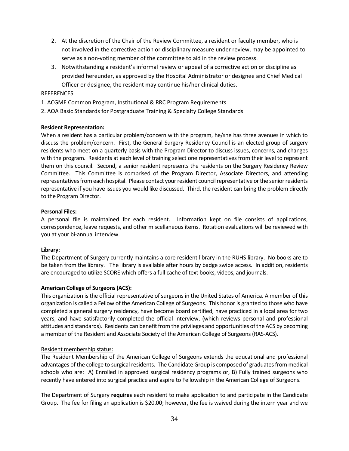- 2. At the discretion of the Chair of the Review Committee, a resident or faculty member, who is not involved in the corrective action or disciplinary measure under review, may be appointed to serve as a non-voting member of the committee to aid in the review process.
- 3. Notwithstanding a resident's informal review or appeal of a corrective action or discipline as provided hereunder, as approved by the Hospital Administrator or designee and Chief Medical Officer or designee, the resident may continue his/her clinical duties.

## REFERENCES

- 1. ACGME Common Program, Institutional & RRC Program Requirements
- 2. AOA Basic Standards for Postgraduate Training & Specialty College Standards

## **Resident Representation:**

When a resident has a particular problem/concern with the program, he/she has three avenues in which to discuss the problem/concern. First, the General Surgery Residency Council is an elected group of surgery residents who meet on a quarterly basis with the Program Director to discuss issues, concerns, and changes with the program. Residents at each level of training select one representatives from their level to represent them on this council. Second, a senior resident represents the residents on the Surgery Residency Review Committee. This Committee is comprised of the Program Director, Associate Directors, and attending representatives from each hospital. Please contact your resident council representative or the senior residents representative if you have issues you would like discussed. Third, the resident can bring the problem directly to the Program Director.

#### **Personal Files:**

A personal file is maintained for each resident. Information kept on file consists of applications, correspondence, leave requests, and other miscellaneous items. Rotation evaluations will be reviewed with you at your bi-annual interview.

## **Library:**

The Department of Surgery currently maintains a core resident library in the RUHS library. No books are to be taken from the library. The library is available after hours by badge swipe access. In addition, residents are encouraged to utilize SCORE which offers a full cache of text books, videos, and journals.

## **American College of Surgeons (ACS):**

This organization is the official representative of surgeons in the United States of America. A member of this organization is called a Fellow of the American College of Surgeons. This honor is granted to those who have completed a general surgery residency, have become board certified, have practiced in a local area for two years, and have satisfactorily completed the official interview, (which reviews personal and professional attitudes and standards). Residents can benefit from the privileges and opportunities of the ACS by becoming a member of the Resident and Associate Society of the American College of Surgeons (RAS-ACS).

## Resident membership status:

The Resident Membership of the American College of Surgeons extends the educational and professional advantages of the college to surgical residents. The Candidate Group is composed of graduates from medical schools who are: A) Enrolled in approved surgical residency programs or, B) Fully trained surgeons who recently have entered into surgical practice and aspire to Fellowship in the American College of Surgeons.

The Department of Surgery **requires** each resident to make application to and participate in the Candidate Group. The fee for filing an application is \$20.00; however, the fee is waived during the intern year and we